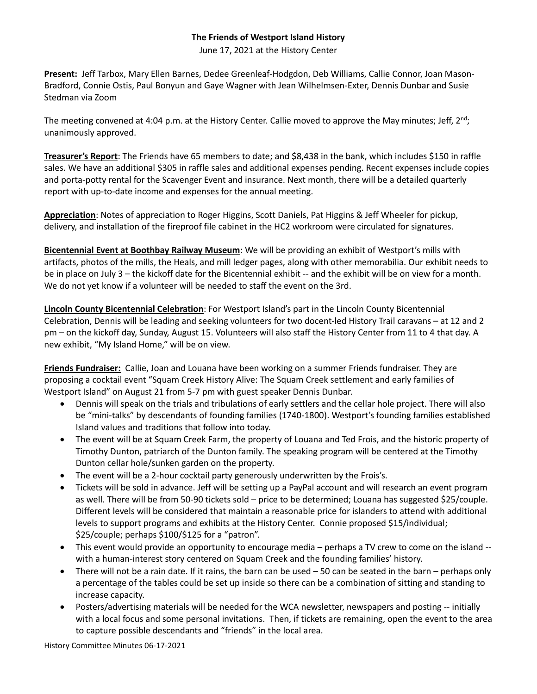## **The Friends of Westport Island History**

June 17, 2021 at the History Center

**Present:** Jeff Tarbox, Mary Ellen Barnes, Dedee Greenleaf-Hodgdon, Deb Williams, Callie Connor, Joan Mason-Bradford, Connie Ostis, Paul Bonyun and Gaye Wagner with Jean Wilhelmsen-Exter, Dennis Dunbar and Susie Stedman via Zoom

The meeting convened at 4:04 p.m. at the History Center. Callie moved to approve the May minutes; Jeff,  $2<sup>nd</sup>$ ; unanimously approved.

**Treasurer's Report**: The Friends have 65 members to date; and \$8,438 in the bank, which includes \$150 in raffle sales. We have an additional \$305 in raffle sales and additional expenses pending. Recent expenses include copies and porta-potty rental for the Scavenger Event and insurance. Next month, there will be a detailed quarterly report with up-to-date income and expenses for the annual meeting.

**Appreciation**: Notes of appreciation to Roger Higgins, Scott Daniels, Pat Higgins & Jeff Wheeler for pickup, delivery, and installation of the fireproof file cabinet in the HC2 workroom were circulated for signatures.

**Bicentennial Event at Boothbay Railway Museum**: We will be providing an exhibit of Westport's mills with artifacts, photos of the mills, the Heals, and mill ledger pages, along with other memorabilia. Our exhibit needs to be in place on July 3 – the kickoff date for the Bicentennial exhibit -- and the exhibit will be on view for a month. We do not yet know if a volunteer will be needed to staff the event on the 3rd.

**Lincoln County Bicentennial Celebration**: For Westport Island's part in the Lincoln County Bicentennial Celebration, Dennis will be leading and seeking volunteers for two docent-led History Trail caravans – at 12 and 2 pm – on the kickoff day, Sunday, August 15. Volunteers will also staff the History Center from 11 to 4 that day. A new exhibit, "My Island Home," will be on view.

**Friends Fundraiser:** Callie, Joan and Louana have been working on a summer Friends fundraiser. They are proposing a cocktail event "Squam Creek History Alive: The Squam Creek settlement and early families of Westport Island" on August 21 from 5-7 pm with guest speaker Dennis Dunbar.

- Dennis will speak on the trials and tribulations of early settlers and the cellar hole project. There will also be "mini-talks" by descendants of founding families (1740-1800). Westport's founding families established Island values and traditions that follow into today.
- The event will be at Squam Creek Farm, the property of Louana and Ted Frois, and the historic property of Timothy Dunton, patriarch of the Dunton family. The speaking program will be centered at the Timothy Dunton cellar hole/sunken garden on the property.
- The event will be a 2-hour cocktail party generously underwritten by the Frois's.
- Tickets will be sold in advance. Jeff will be setting up a PayPal account and will research an event program as well. There will be from 50-90 tickets sold – price to be determined; Louana has suggested \$25/couple. Different levels will be considered that maintain a reasonable price for islanders to attend with additional levels to support programs and exhibits at the History Center. Connie proposed \$15/individual; \$25/couple; perhaps \$100/\$125 for a "patron".
- This event would provide an opportunity to encourage media perhaps a TV crew to come on the island with a human-interest story centered on Squam Creek and the founding families' history.
- There will not be a rain date. If it rains, the barn can be used 50 can be seated in the barn perhaps only a percentage of the tables could be set up inside so there can be a combination of sitting and standing to increase capacity.
- Posters/advertising materials will be needed for the WCA newsletter, newspapers and posting -- initially with a local focus and some personal invitations. Then, if tickets are remaining, open the event to the area to capture possible descendants and "friends" in the local area.

History Committee Minutes 06-17-2021